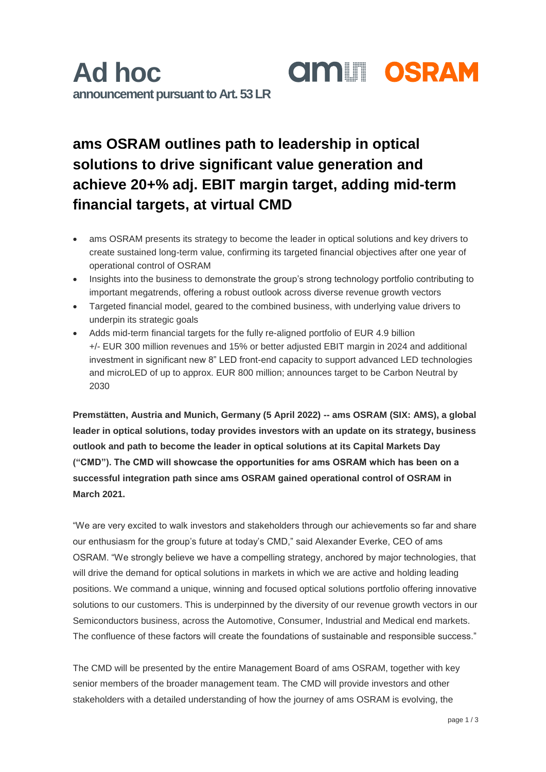## **ams OSRAM outlines path to leadership in optical solutions to drive significant value generation and achieve 20+% adj. EBIT margin target, adding mid-term financial targets, at virtual CMD**

- ams OSRAM presents its strategy to become the leader in optical solutions and key drivers to create sustained long-term value, confirming its targeted financial objectives after one year of operational control of OSRAM
- Insights into the business to demonstrate the group's strong technology portfolio contributing to important megatrends, offering a robust outlook across diverse revenue growth vectors
- Targeted financial model, geared to the combined business, with underlying value drivers to underpin its strategic goals
- Adds mid-term financial targets for the fully re-aligned portfolio of EUR 4.9 billion +/- EUR 300 million revenues and 15% or better adjusted EBIT margin in 2024 and additional investment in significant new 8" LED front-end capacity to support advanced LED technologies and microLED of up to approx. EUR 800 million; announces target to be Carbon Neutral by 2030

**Premstätten, Austria and Munich, Germany (5 April 2022) -- ams OSRAM (SIX: AMS), a global leader in optical solutions, today provides investors with an update on its strategy, business outlook and path to become the leader in optical solutions at its Capital Markets Day ("CMD"). The CMD will showcase the opportunities for ams OSRAM which has been on a successful integration path since ams OSRAM gained operational control of OSRAM in March 2021.**

"We are very excited to walk investors and stakeholders through our achievements so far and share our enthusiasm for the group's future at today's CMD," said Alexander Everke, CEO of ams OSRAM. "We strongly believe we have a compelling strategy, anchored by major technologies, that will drive the demand for optical solutions in markets in which we are active and holding leading positions. We command a unique, winning and focused optical solutions portfolio offering innovative solutions to our customers. This is underpinned by the diversity of our revenue growth vectors in our Semiconductors business, across the Automotive, Consumer, Industrial and Medical end markets. The confluence of these factors will create the foundations of sustainable and responsible success."

The CMD will be presented by the entire Management Board of ams OSRAM, together with key senior members of the broader management team. The CMD will provide investors and other stakeholders with a detailed understanding of how the journey of ams OSRAM is evolving, the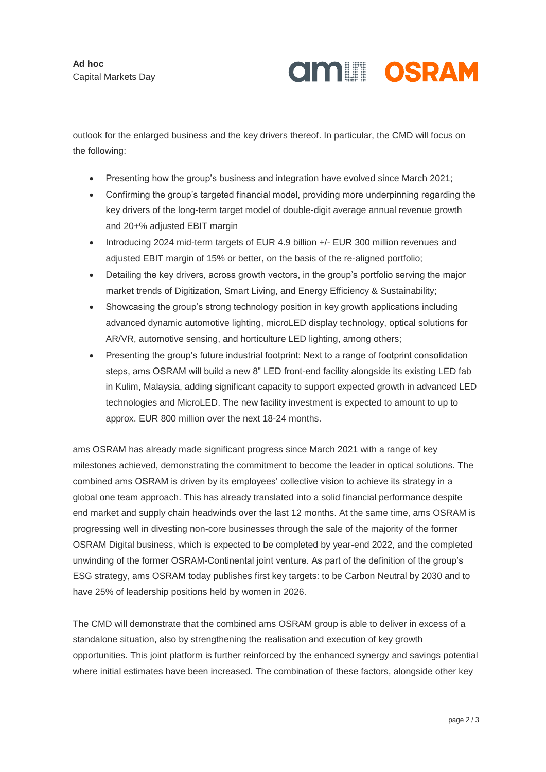# **AMILI OSRAM**

outlook for the enlarged business and the key drivers thereof. In particular, the CMD will focus on the following:

- Presenting how the group's business and integration have evolved since March 2021;
- Confirming the group's targeted financial model, providing more underpinning regarding the key drivers of the long-term target model of double-digit average annual revenue growth and 20+% adjusted EBIT margin
- Introducing 2024 mid-term targets of EUR 4.9 billion +/- EUR 300 million revenues and adjusted EBIT margin of 15% or better, on the basis of the re-aligned portfolio;
- Detailing the key drivers, across growth vectors, in the group's portfolio serving the major market trends of Digitization, Smart Living, and Energy Efficiency & Sustainability;
- Showcasing the group's strong technology position in key growth applications including advanced dynamic automotive lighting, microLED display technology, optical solutions for AR/VR, automotive sensing, and horticulture LED lighting, among others;
- Presenting the group's future industrial footprint: Next to a range of footprint consolidation steps, ams OSRAM will build a new 8" LED front-end facility alongside its existing LED fab in Kulim, Malaysia, adding significant capacity to support expected growth in advanced LED technologies and MicroLED. The new facility investment is expected to amount to up to approx. EUR 800 million over the next 18-24 months.

ams OSRAM has already made significant progress since March 2021 with a range of key milestones achieved, demonstrating the commitment to become the leader in optical solutions. The combined ams OSRAM is driven by its employees' collective vision to achieve its strategy in a global one team approach. This has already translated into a solid financial performance despite end market and supply chain headwinds over the last 12 months. At the same time, ams OSRAM is progressing well in divesting non-core businesses through the sale of the majority of the former OSRAM Digital business, which is expected to be completed by year-end 2022, and the completed unwinding of the former OSRAM-Continental joint venture. As part of the definition of the group's ESG strategy, ams OSRAM today publishes first key targets: to be Carbon Neutral by 2030 and to have 25% of leadership positions held by women in 2026.

The CMD will demonstrate that the combined ams OSRAM group is able to deliver in excess of a standalone situation, also by strengthening the realisation and execution of key growth opportunities. This joint platform is further reinforced by the enhanced synergy and savings potential where initial estimates have been increased. The combination of these factors, alongside other key